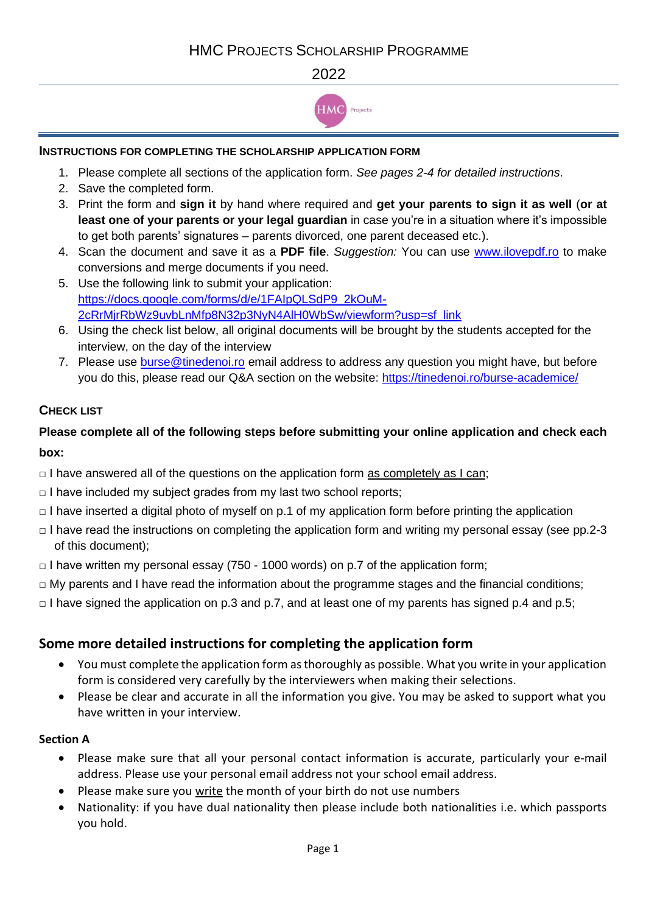## 2022



## **INSTRUCTIONS FOR COMPLETING THE SCHOLARSHIP APPLICATION FORM**

- 1. Please complete all sections of the application form. *See pages 2-4 for detailed instructions*.
- 2. Save the completed form.
- 3. Print the form and **sign it** by hand where required and **get your parents to sign it as well** (**or at least one of your parents or your legal guardian** in case you're in a situation where it's impossible to get both parents' signatures – parents divorced, one parent deceased etc.).
- 4. Scan the document and save it as a **PDF file**. *Suggestion:* You can use [www.ilovepdf.ro](http://www.ilovepdf.ro/) to make conversions and merge documents if you need.
- 5. Use the following link to submit your application: [https://docs.google.com/forms/d/e/1FAIpQLSdP9\\_2kOuM-](https://docs.google.com/forms/d/e/1FAIpQLSdP9_2kOuM-2cRrMjrRbWz9uvbLnMfp8N32p3NyN4AlH0WbSw/viewform?usp=sf_link)[2cRrMjrRbWz9uvbLnMfp8N32p3NyN4AlH0WbSw/viewform?usp=sf\\_link](https://docs.google.com/forms/d/e/1FAIpQLSdP9_2kOuM-2cRrMjrRbWz9uvbLnMfp8N32p3NyN4AlH0WbSw/viewform?usp=sf_link)
- 6. Using the check list below, all original documents will be brought by the students accepted for the interview, on the day of the interview
- 7. Please use **burse @tinedenoi.ro** email address to address any question you might have, but before you do this, please read our Q&A section on the website:<https://tinedenoi.ro/burse-academice/>

## **CHECK LIST**

# **Please complete all of the following steps before submitting your online application and check each box:**

- $\Box$  I have answered all of the questions on the application form as completely as I can;
- $\Box$  I have included my subject grades from my last two school reports;
- $\Box$  I have inserted a digital photo of myself on p.1 of my application form before printing the application
- □ I have read the instructions on completing the application form and writing my personal essay (see pp.2-3 of this document);
- $\Box$  I have written my personal essay (750 1000 words) on p.7 of the application form;
- $\Box$  My parents and I have read the information about the programme stages and the financial conditions;
- $\Box$  I have signed the application on p.3 and p.7, and at least one of my parents has signed p.4 and p.5;

# **Some more detailed instructions for completing the application form**

- You must complete the application form as thoroughly as possible. What you write in your application form is considered very carefully by the interviewers when making their selections.
- Please be clear and accurate in all the information you give. You may be asked to support what you have written in your interview.

### **Section A**

- Please make sure that all your personal contact information is accurate, particularly your e-mail address. Please use your personal email address not your school email address.
- Please make sure you write the month of your birth do not use numbers
- Nationality: if you have dual nationality then please include both nationalities i.e. which passports you hold.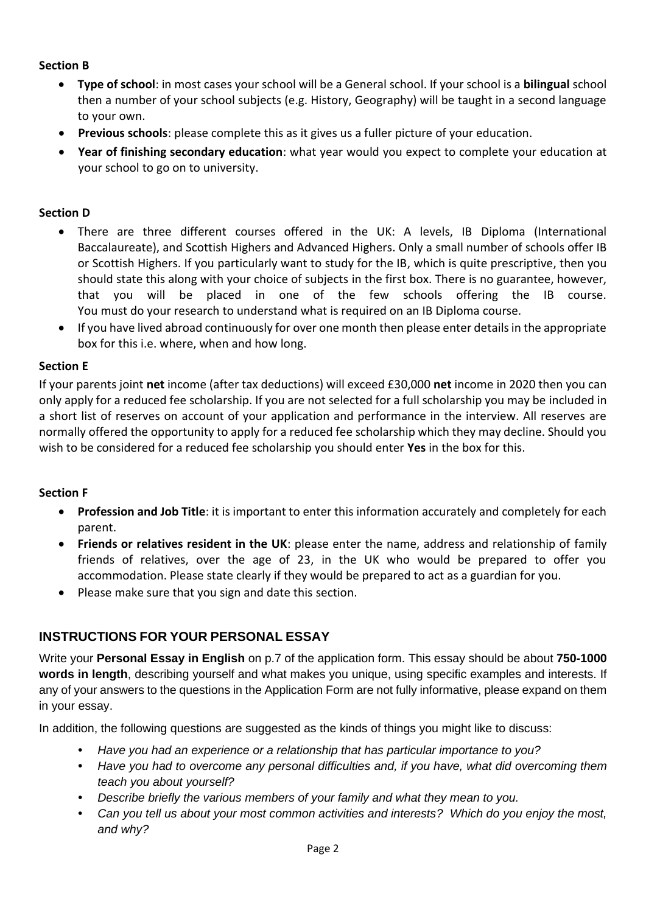#### **Section B**

- **Type of school**: in most cases your school will be a General school. If your school is a **bilingual** school then a number of your school subjects (e.g. History, Geography) will be taught in a second language to your own.
- **Previous schools**: please complete this as it gives us a fuller picture of your education.
- **Year of finishing secondary education**: what year would you expect to complete your education at your school to go on to university.

#### **Section D**

- There are three different courses offered in the UK: A levels, IB Diploma (International Baccalaureate), and Scottish Highers and Advanced Highers. Only a small number of schools offer IB or Scottish Highers. If you particularly want to study for the IB, which is quite prescriptive, then you should state this along with your choice of subjects in the first box. There is no guarantee, however, that you will be placed in one of the few schools offering the IB course. You must do your research to understand what is required on an IB Diploma course.
- If you have lived abroad continuously for over one month then please enter details in the appropriate box for this i.e. where, when and how long.

#### **Section E**

If your parents joint **net** income (after tax deductions) will exceed £30,000 **net** income in 2020 then you can only apply for a reduced fee scholarship. If you are not selected for a full scholarship you may be included in a short list of reserves on account of your application and performance in the interview. All reserves are normally offered the opportunity to apply for a reduced fee scholarship which they may decline. Should you wish to be considered for a reduced fee scholarship you should enter **Yes** in the box for this.

#### **Section F**

- **Profession and Job Title**: it is important to enter this information accurately and completely for each parent.
- **Friends or relatives resident in the UK**: please enter the name, address and relationship of family friends of relatives, over the age of 23, in the UK who would be prepared to offer you accommodation. Please state clearly if they would be prepared to act as a guardian for you.
- Please make sure that you sign and date this section.

## **INSTRUCTIONS FOR YOUR PERSONAL ESSAY**

Write your **Personal Essay in English** on p.7 of the application form. This essay should be about **750-1000 words in length**, describing yourself and what makes you unique, using specific examples and interests. If any of your answers to the questions in the Application Form are not fully informative, please expand on them in your essay.

In addition, the following questions are suggested as the kinds of things you might like to discuss:

- **•** *Have you had an experience or a relationship that has particular importance to you?*
- **•** *Have you had to overcome any personal difficulties and, if you have, what did overcoming them teach you about yourself?*
- **•** *Describe briefly the various members of your family and what they mean to you.*
- **•** *Can you tell us about your most common activities and interests? Which do you enjoy the most, and why?*